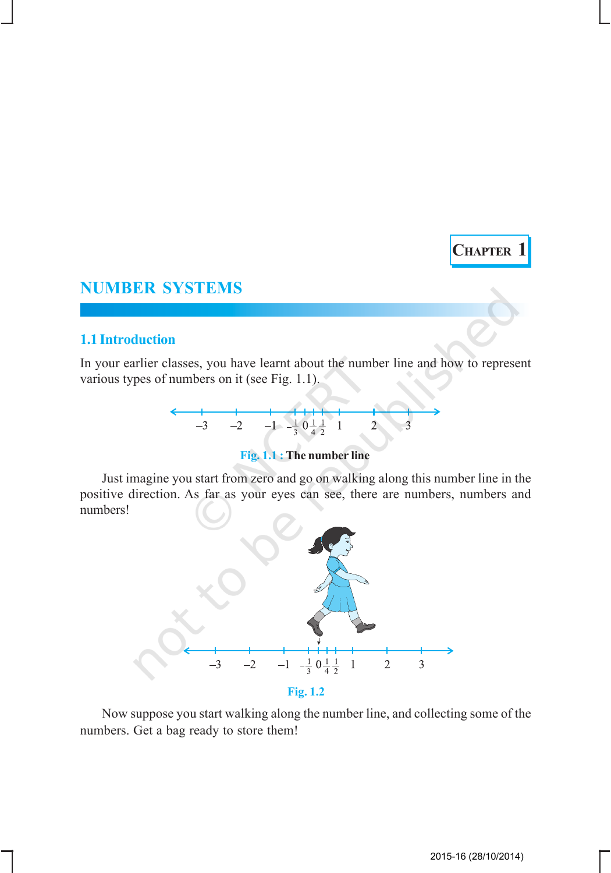# **CHAPTER 1**

## **NUMBER SYSTEMS**

#### **1.1 Introduction**

In your earlier classes, you have learnt about the number line and how to represent various types of numbers on it (see Fig. 1.1).



### **Fig. 1.1 : The number line**

Just imagine you start from zero and go on walking along this number line in the positive direction. As far as your eyes can see, there are numbers, numbers and numbers!



Now suppose you start walking along the number line, and collecting some of the numbers. Get a bag ready to store them!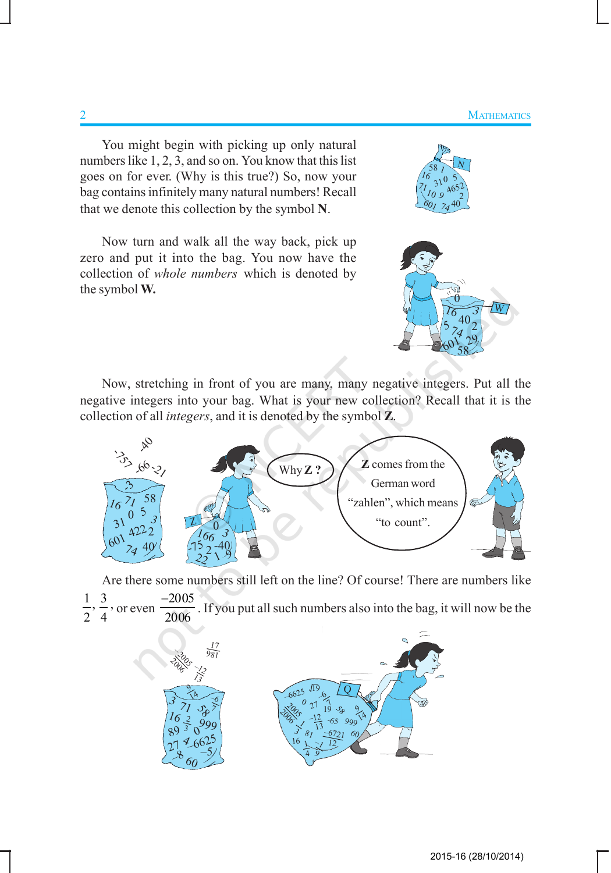You might begin with picking up only natural numbers like 1, 2, 3, and so on. You know that this list goes on for ever. (Why is this true?) So, now your bag contains infinitely many natural numbers! Recall that we denote this collection by the symbol **N**.

Now turn and walk all the way back, pick up zero and put it into the bag. You now have the collection of *whole numbers* which is denoted by the symbol **W.**





Now, stretching in front of you are many, many negative integers. Put all the negative integers into your bag. What is your new collection? Recall that it is the collection of all *integers*, and it is denoted by the symbol **Z**.



Are there some numbers still left on the line? Of course! There are numbers like  $\frac{1}{2}$ ,  $\frac{3}{4}$ 2 4 , or even − . If you put all such numbers also into the bag, it will now be the

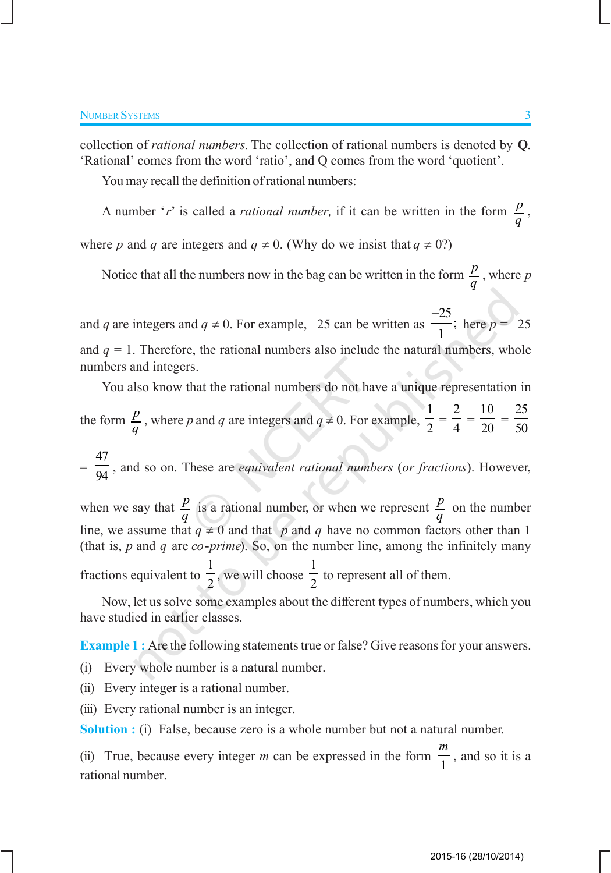collection of *rational numbers.* The collection of rational numbers is denoted by **Q**. 'Rational' comes from the word 'ratio', and Q comes from the word 'quotient'.

You may recall the definition of rational numbers:

A number '*r*' is called a *rational number*, if it can be written in the form  $\frac{p}{q}$ ,

where *p* and *q* are integers and  $q \neq 0$ . (Why do we insist that  $q \neq 0$ ?)

Notice that all the numbers now in the bag can be written in the form  $\frac{p}{q}$ , where *p* 

and *q* are integers and  $q \neq 0$ . For example,  $-25$  can be written as 25 ; 1 − here  $p = -25$ and  $q = 1$ . Therefore, the rational numbers also include the natural numbers, whole numbers and integers.

You also know that the rational numbers do not have a unique representation in the form  $\frac{p}{q}$ , where *p* and *q* are integers and  $q \neq 0$ . For example, 1  $\frac{1}{2}$  = 2  $\frac{1}{4}$  = 10  $\frac{1}{20}$  = 25 50

= 47 <sup>94</sup> , and so on. These are *equivalent rational numbers* (*or fractions*). However,

when we say that  $\frac{p}{q}$  is a rational number, or when we represent  $\frac{p}{q}$  on the number line, we assume that  $q \neq 0$  and that *p* and *q* have no common factors other than 1 (that is, *p* and *q* are *co*-*prime*). So, on the number line, among the infinitely many 1 1

fractions equivalent to  $\frac{1}{2}$ , we will choose  $\frac{1}{2}$  to represent all of them.

Now, let us solve some examples about the different types of numbers, which you have studied in earlier classes.

**Example 1 :** Are the following statements true or false? Give reasons for your answers.

(i) Every whole number is a natural number.

(ii) Every integer is a rational number.

(iii) Every rational number is an integer.

**Solution :** (i) False, because zero is a whole number but not a natural number.

(ii) True, because every integer *m* can be expressed in the form 1 *m* , and so it is a rational number.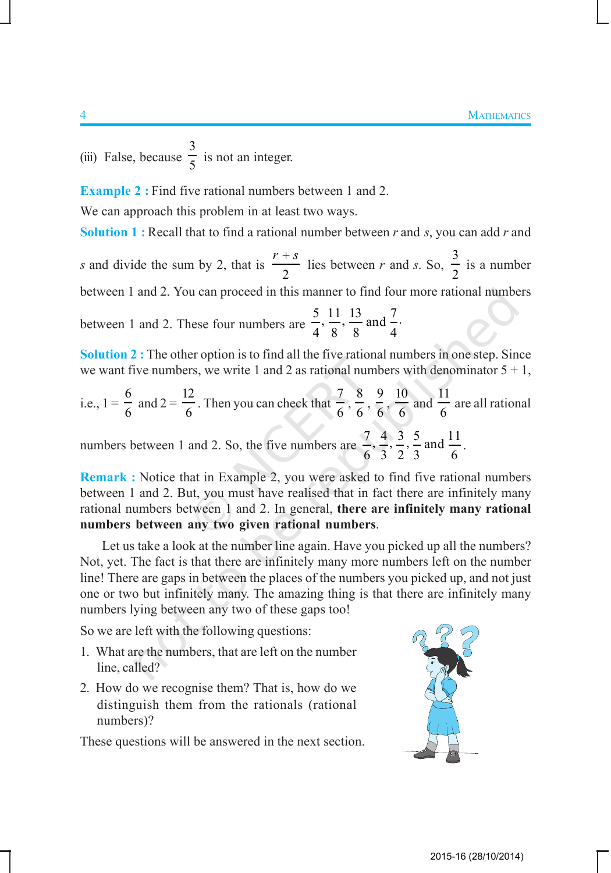(iii) False, because 3  $\frac{1}{5}$  is not an integer.

**Example 2 :** Find five rational numbers between 1 and 2.

We can approach this problem in at least two ways.

**Solution 1 :** Recall that to find a rational number between *r* and *s*, you can add *r* and

*s* and divide the sum by 2, that is 2  $r + s$  lies between *r* and *s*. So, 3 2 is a number between 1 and 2. You can proceed in this manner to find four more rational numbers

between 1 and 2. These four numbers are  $\frac{5}{1}, \frac{11}{2}, \frac{13}{2}$  and  $\frac{7}{1}$ . 4 8 8 4

**Solution 2 :** The other option is to find all the five rational numbers in one step. Since we want five numbers, we write 1 and 2 as rational numbers with denominator  $5 + 1$ ,

i.e., 
$$
1 = \frac{6}{6}
$$
 and  $2 = \frac{12}{6}$ . Then you can check that  $\frac{7}{6}, \frac{8}{6}, \frac{9}{6}, \frac{10}{6}$  and  $\frac{11}{6}$  are all rational

numbers between 1 and 2. So, the five numbers are  $\frac{7}{1}, \frac{4}{7}, \frac{3}{7}, \frac{5}{9}$  and  $\frac{11}{7}$ 6 3 2 3 6 .

**Remark :** Notice that in Example 2, you were asked to find five rational numbers between 1 and 2. But, you must have realised that in fact there are infinitely many rational numbers between 1 and 2. In general, **there are infinitely many rational numbers between any two given rational numbers**.

Let us take a look at the number line again. Have you picked up all the numbers? Not, yet. The fact is that there are infinitely many more numbers left on the number line! There are gaps in between the places of the numbers you picked up, and not just one or two but infinitely many. The amazing thing is that there are infinitely many numbers lying between any two of these gaps too!

So we are left with the following questions:

- 1. What are the numbers, that are left on the number line, called?
- 2. How do we recognise them? That is, how do we distinguish them from the rationals (rational numbers)?

These questions will be answered in the next section.

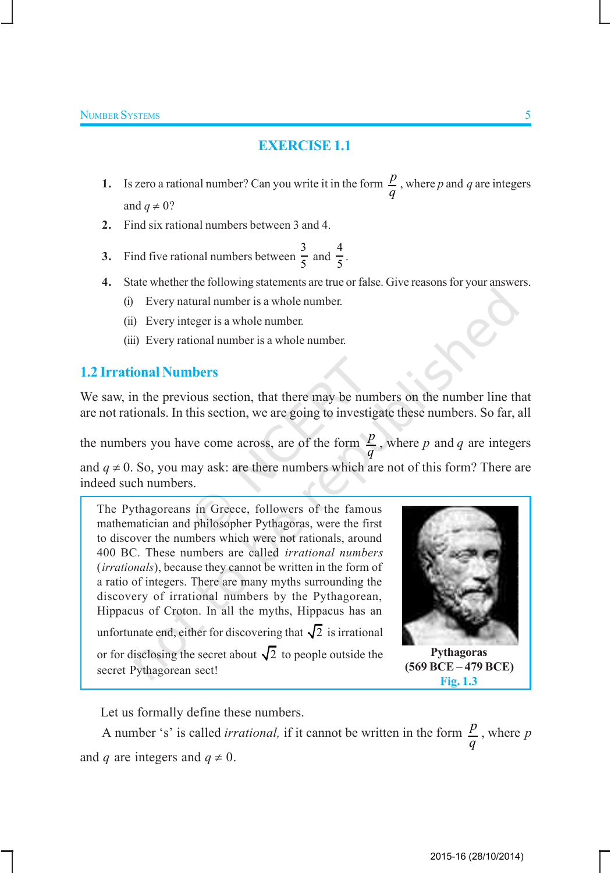## **EXERCISE 1.1**

- **1.** Is zero a rational number? Can you write it in the form  $\frac{p}{q}$ , where *p* and *q* are integers and  $q \neq 0$ ?
- **2.** Find six rational numbers between 3 and 4.
- **3.** Find five rational numbers between  $\frac{3}{5}$  $\frac{3}{5}$  and  $\frac{4}{5}$  $\frac{1}{5}$ .
- **4.** State whether the following statements are true or false. Give reasons for your answers.
	- (i) Every natural number is a whole number.
	- (ii) Every integer is a whole number.
	- (iii) Every rational number is a whole number.

## **1.2 Irrational Numbers**

We saw, in the previous section, that there may be numbers on the number line that are not rationals. In this section, we are going to investigate these numbers. So far, all

the numbers you have come across, are of the form  $\frac{p}{q}$ , where p and q are integers and  $q \neq 0$ . So, you may ask: are there numbers which are not of this form? There are indeed such numbers.

The Pythagoreans in Greece, followers of the famous mathematician and philosopher Pythagoras, were the first to discover the numbers which were not rationals, around 400 BC. These numbers are called *irrational numbers* (*irrationals*), because they cannot be written in the form of a ratio of integers. There are many myths surrounding the discovery of irrational numbers by the Pythagorean, Hippacus of Croton. In all the myths, Hippacus has an unfortunate end, either for discovering that  $\sqrt{2}$  is irrational or for disclosing the secret about  $\sqrt{2}$  to people outside the secret Pythagorean sect!



**Pythagoras (569 BCE – 479 BCE) Fig. 1.3**

Let us formally define these numbers.

A number 's' is called *irrational*, if it cannot be written in the form  $\frac{p}{q}$  $\frac{p}{q}$ , where *p* and *q* are integers and  $q \neq 0$ .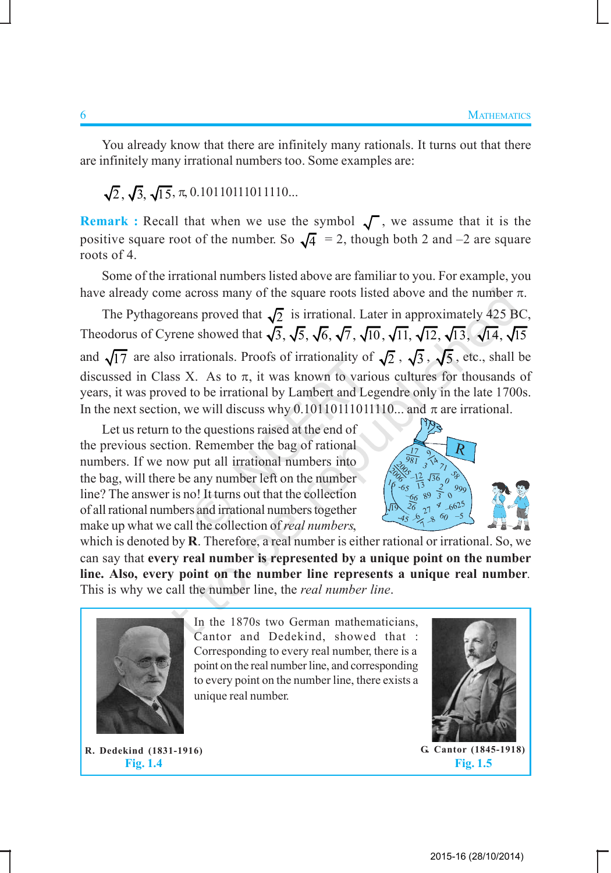You already know that there are infinitely many rationals. It turns out that there are infinitely many irrational numbers too. Some examples are:

 $\sqrt{2}$ ,  $\sqrt{3}$ ,  $\sqrt{15}$ ,  $\pi$ , 0.10110111011110...

**Remark :** Recall that when we use the symbol  $\sqrt{\ }$ , we assume that it is the positive square root of the number. So  $\sqrt{4}$  = 2, though both 2 and -2 are square roots of 4.

Some of the irrational numbers listed above are familiar to you. For example, you have already come across many of the square roots listed above and the number  $\pi$ .

The Pythagoreans proved that  $\sqrt{2}$  is irrational. Later in approximately 425 BC, Theodorus of Cyrene showed that  $\sqrt{3}$ ,  $\sqrt{5}$ ,  $\sqrt{6}$ ,  $\sqrt{7}$ ,  $\sqrt{10}$ ,  $\sqrt{11}$ ,  $\sqrt{12}$ ,  $\sqrt{13}$ ,  $\sqrt{14}$ ,  $\sqrt{15}$ and  $\sqrt{17}$  are also irrationals. Proofs of irrationality of  $\sqrt{2}$ ,  $\sqrt{3}$ ,  $\sqrt{5}$ , etc., shall be discussed in Class X. As to  $\pi$ , it was known to various cultures for thousands of years, it was proved to be irrational by Lambert and Legendre only in the late 1700s. In the next section, we will discuss why  $0.10110111110...$  and  $\pi$  are irrational.

Let us return to the questions raised at the end of the previous section. Remember the bag of rational numbers. If we now put all irrational numbers into the bag, will there be any number left on the number line? The answer is no! It turns out that the collection of all rational numbers and irrational numbers together make up what we call the collection of *real numbers*,



which is denoted by **R**. Therefore, a real number is either rational or irrational. So, we can say that **every real number is represented by a unique point on the number line. Also, every point on the number line represents a unique real number***.* This is why we call the number line, the *real number line*.



In the 1870s two German mathematicians, Cantor and Dedekind, showed that : Corresponding to every real number, there is a point on the real number line, and corresponding to every point on the number line, there exists a unique real number.

**R. Dedekind (1831-1916) Fig. 1.4**

**G. Cantor (1845-1918)**

**Fig. 1.5**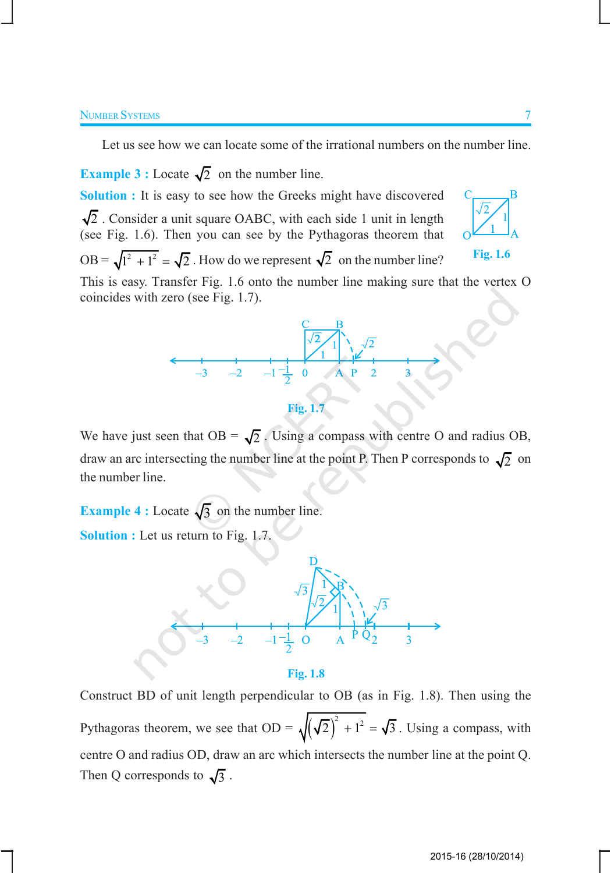Let us see how we can locate some of the irrational numbers on the number line.

**Example 3 :** Locate  $\sqrt{2}$  on the number line. **Solution :** It is easy to see how the Greeks might have discovered

 $\sqrt{2}$ . Consider a unit square OABC, with each side 1 unit in length (see Fig. 1.6). Then you can see by the Pythagoras theorem that OB =  $\sqrt{1^2 + 1^2} = \sqrt{2}$ . How do we represent  $\sqrt{2}$  on the number line?



**Fig. 1.6**

This is easy. Transfer Fig. 1.6 onto the number line making sure that the vertex O coincides with zero (see Fig. 1.7).



**Fig. 1.7**

We have just seen that  $OB = \sqrt{2}$ . Using a compass with centre O and radius OB, draw an arc intersecting the number line at the point P. Then P corresponds to  $\sqrt{2}$  on the number line.

**Example 4 :** Locate  $\sqrt{3}$  on the number line. **Solution :** Let us return to Fig. 1.7.



**Fig. 1.8**

Construct BD of unit length perpendicular to OB (as in Fig. 1.8). Then using the Pythagoras theorem, we see that  $OD = \sqrt{(\sqrt{2})^2 + 1^2} = \sqrt{3}$ . Using a compass, with centre O and radius OD, draw an arc which intersects the number line at the point Q. Then Q corresponds to  $\sqrt{3}$ .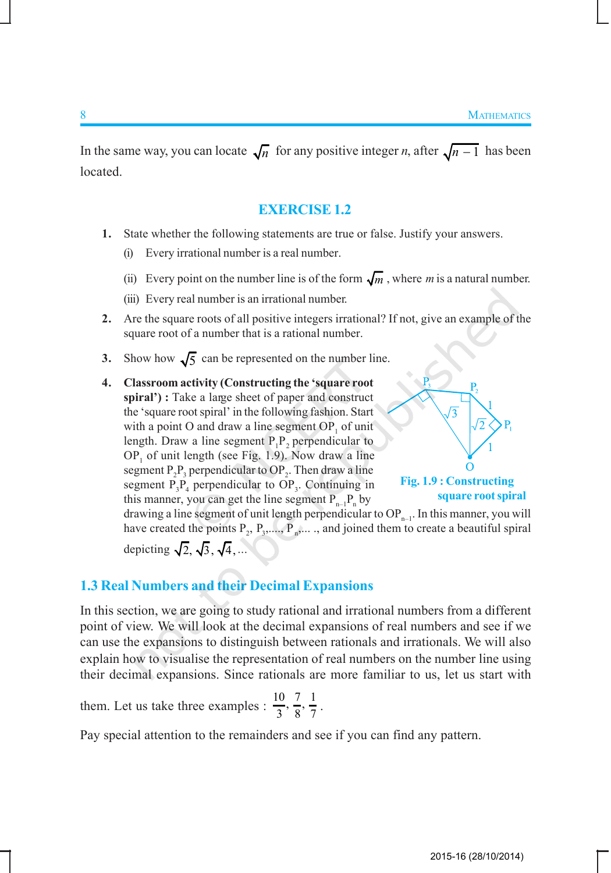In the same way, you can locate  $\sqrt{n}$  for any positive integer *n*, after  $\sqrt{n-1}$  has been located.

#### **EXERCISE 1.2**

- **1.** State whether the following statements are true or false. Justify your answers.
	- (i) Every irrational number is a real number.
	- (ii) Every point on the number line is of the form  $\sqrt{m}$ , where *m* is a natural number.
	- (iii) Every real number is an irrational number.
- **2.** Are the square roots of all positive integers irrational? If not, give an example of the square root of a number that is a rational number.
- **3.** Show how  $\sqrt{5}$  can be represented on the number line.
- **4. Classroom activity (Constructing the 'square root spiral') :** Take a large sheet of paper and construct the 'square root spiral' in the following fashion. Start with a point O and draw a line segment  $OP_1$  of unit length. Draw a line segment  $P_1P_2$  perpendicular to  $OP_1$  of unit length (see Fig. 1.9). Now draw a line segment  $P_2P_3$  perpendicular to  $OP_2$ . Then draw a line segment  $P_3P_4$  perpendicular to  $OP_3$ . Continuing in this manner, you can get the line segment  $P_{n-1}P_n$  by



**square root spiral**

drawing a line segment of unit length perpendicular to  $OP_{n-1}$ . In this manner, you will have created the points  $P_2$ ,  $P_3$ ,....,  $P_n$ ,...., and joined them to create a beautiful spiral depicting  $\sqrt{2}$ ,  $\sqrt{3}$ ,  $\sqrt{4}$ , ...

#### **1.3 Real Numbers and their Decimal Expansions**

In this section, we are going to study rational and irrational numbers from a different point of view. We will look at the decimal expansions of real numbers and see if we can use the expansions to distinguish between rationals and irrationals. We will also explain how to visualise the representation of real numbers on the number line using their decimal expansions. Since rationals are more familiar to us, let us start with

them. Let us take three examples :  $\frac{10}{3}$ ,  $\frac{7}{8}$ ,  $\frac{1}{7}$ .

Pay special attention to the remainders and see if you can find any pattern.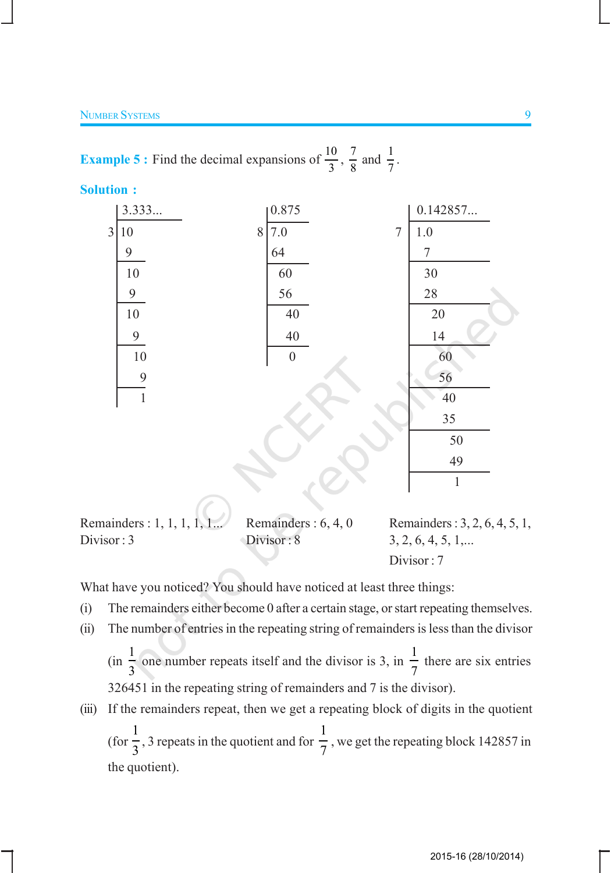**Example 5 :** Find the decimal expansions of  $\frac{10}{3}$ ,  $\frac{7}{8}$  $\frac{7}{8}$  and  $\frac{1}{7}$ .

**Solution :**



Remainders : 1, 1, 1, 1, 1... Remainders : 6, 4, 0 Remainders : 3, 2, 6, 4, 5, 1, Divisor : 3 **Divisor : 8** 3, 2, 6, 4, 5, 1,... Divisor : 7

What have you noticed? You should have noticed at least three things:

- (i) The remainders either become 0 after a certain stage, or start repeating themselves.
- (ii) The number of entries in the repeating string of remainders is less than the divisor

(in 1 3 one number repeats itself and the divisor is 3, in 1 7 there are six entries 326451 in the repeating string of remainders and 7 is the divisor).

(iii) If the remainders repeat, then we get a repeating block of digits in the quotient (for 1  $\frac{1}{3}$ , 3 repeats in the quotient and for 1 7 , we get the repeating block 142857 in the quotient).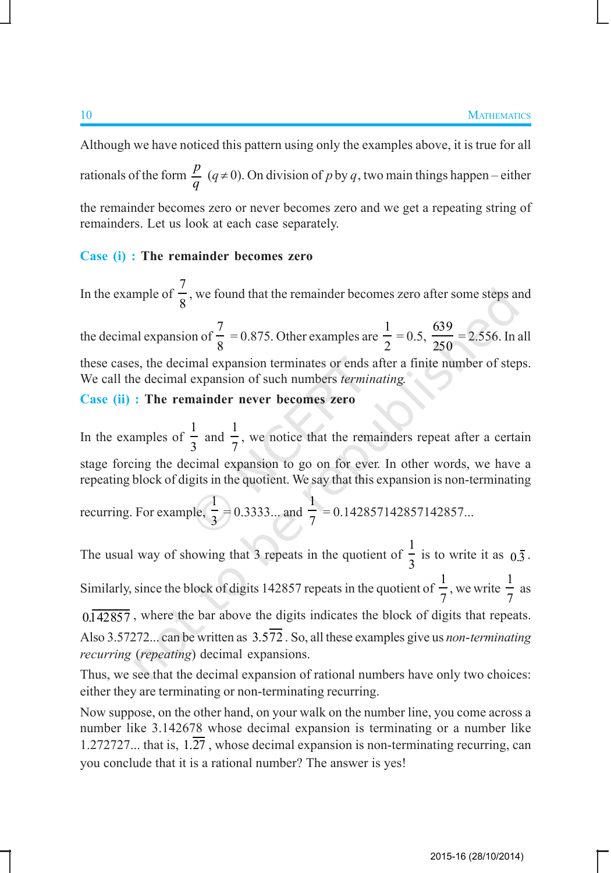Although we have noticed this pattern using only the examples above, it is true for all rationals of the form  $\frac{p}{q}$  ( $q \neq 0$ ). On division of *p* by *q*, two main things happen – either the remainder becomes zero or never becomes zero and we get a repeating string of remainders. Let us look at each case separately.

#### **Case (i) : The remainder becomes zero**

In the example of 7 8 , we found that the remainder becomes zero after some steps and the decimal expansion of 7 8 = 0.875. Other examples are 1 2  $= 0.5,$ 639 250  $= 2.556$ . In all these cases, the decimal expansion terminates or ends after a finite number of steps. We call the decimal expansion of such numbers *terminating*.

#### **Case (ii) : The remainder never becomes zero**

In the examples of 1 3 and 1 7 , we notice that the remainders repeat after a certain stage forcing the decimal expansion to go on for ever. In other words, we have a repeating block of digits in the quotient. We say that this expansion is non-terminating

recurring. For example, 1  $\frac{1}{3}$  = 0.3333... and 1  $\frac{1}{7}$  = 0.142857142857142857...

The usual way of showing that 3 repeats in the quotient of 1  $\frac{1}{3}$  is to write it as  $0.\overline{3}$ . Similarly, since the block of digits 142857 repeats in the quotient of 1 7 , we write 1 7 as  $0.142857$ , where the bar above the digits indicates the block of digits that repeats.

Also 3.57272... can be written as 3.572 . So, all these examples give us *non*-*terminating recurring* (*repeating*) decimal expansions.

Thus, we see that the decimal expansion of rational numbers have only two choices: either they are terminating or non-terminating recurring.

Now suppose, on the other hand, on your walk on the number line, you come across a number like 3.142678 whose decimal expansion is terminating or a number like 1.272727... that is,  $1.\overline{27}$ , whose decimal expansion is non-terminating recurring, can you conclude that it is a rational number? The answer is yes!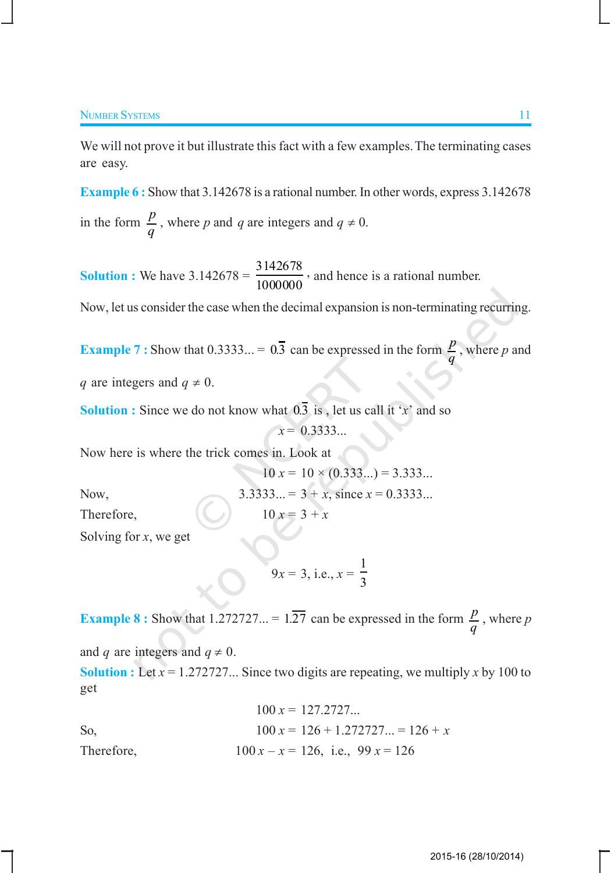We will not prove it but illustrate this fact with a few examples. The terminating cases are easy.

**Example 6 :** Show that 3.142678 is a rational number. In other words, express 3.142678 in the form  $\frac{p}{q}$ , where *p* and *q* are integers and  $q \neq 0$ .

**Solution :** We have  $3.142678 = \frac{3142678}{10000000}$ 1000000 , and hence is a rational number.

Now, let us consider the case when the decimal expansion is non-terminating recurring.

**Example 7 :** Show that 0.3333... =  $0.\overline{3}$  can be expressed in the form  $\frac{p}{q}$ , where *p* and

*q* are integers and  $q \neq 0$ .

**Solution :** Since we do not know what  $\overline{0.3}$  is, let us call it '*x*' and so *x* = 0.3333...

Now here is where the trick comes in. Look at

$$
10 x = 10 \times (0.333...) = 3.333...
$$
  
Now,  

$$
3.3333... = 3 + x
$$
, since  $x = 0.3333...$ 

Therefore,  $10 x = 3 + x$ 

Solving for *x*, we get

$$
9x = 3, \text{ i.e., } x = \frac{1}{3}
$$

**Example 8 :** Show that 1.272727... =  $1.\overline{27}$  can be expressed in the form  $\frac{p}{q}$ , where *p* and *q* are integers and  $q \neq 0$ .

**Solution :** Let  $x = 1.272727...$  Since two digits are repeating, we multiply x by 100 to get

$$
100 x = 127.2727...
$$
  
So,  

$$
100 x = 126 + 1.272727... = 126 + x
$$
  
Therefore,  

$$
100 x - x = 126
$$
, i.e.,  $99 x = 126$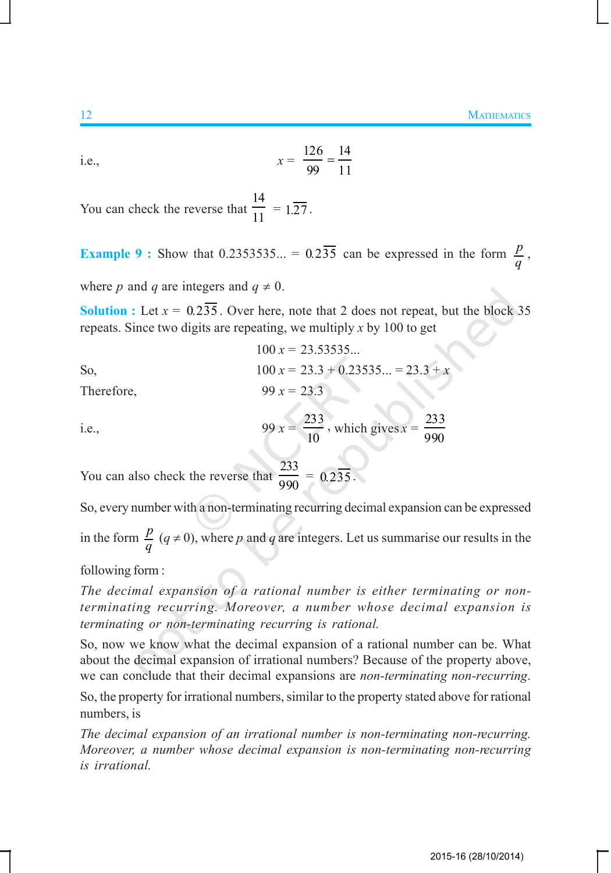i.e., 
$$
x = \frac{126}{99} = \frac{14}{11}
$$

You can check the reverse that 14  $\overline{11}$  = 1.27.

**Example 9 :** Show that 0.2353535... =  $0.2\overline{35}$  can be expressed in the form  $\frac{p}{q}$ ,

where *p* and *q* are integers and  $q \neq 0$ .

**Solution :** Let  $x = 0.235$ . Over here, note that 2 does not repeat, but the block 35 repeats. Since two digits are repeating, we multiply *x* by 100 to get

So,

\n
$$
100 \, x = 23.53535...
$$
\n
$$
100 \, x = 23.3 + 0.23535... = 23.3 + x
$$

Therefore, 99  $x = 23.3$ 

i.e., 
$$
99 x = \frac{233}{10}
$$
, which gives  $x = \frac{233}{990}$ 

You can also check the reverse that 233  $\frac{188}{990} = 0.235$ .

So, every number with a non-terminating recurring decimal expansion can be expressed

in the form  $\frac{p}{q}$  ( $q \neq 0$ ), where *p* and *q* are integers. Let us summarise our results in the

following form :

*The decimal expansion of a rational number is either terminating or nonterminating recurring. Moreover, a number whose decimal expansion is terminating or non-terminating recurring is rational.*

So, now we know what the decimal expansion of a rational number can be. What about the decimal expansion of irrational numbers? Because of the property above, we can conclude that their decimal expansions are *non-terminating non-recurring*.

So, the property for irrational numbers, similar to the property stated above for rational numbers, is

*The decimal expansion of an irrational number is non-terminating non-recurring. Moreover, a number whose decimal expansion is non-terminating non-recurring is irrational.*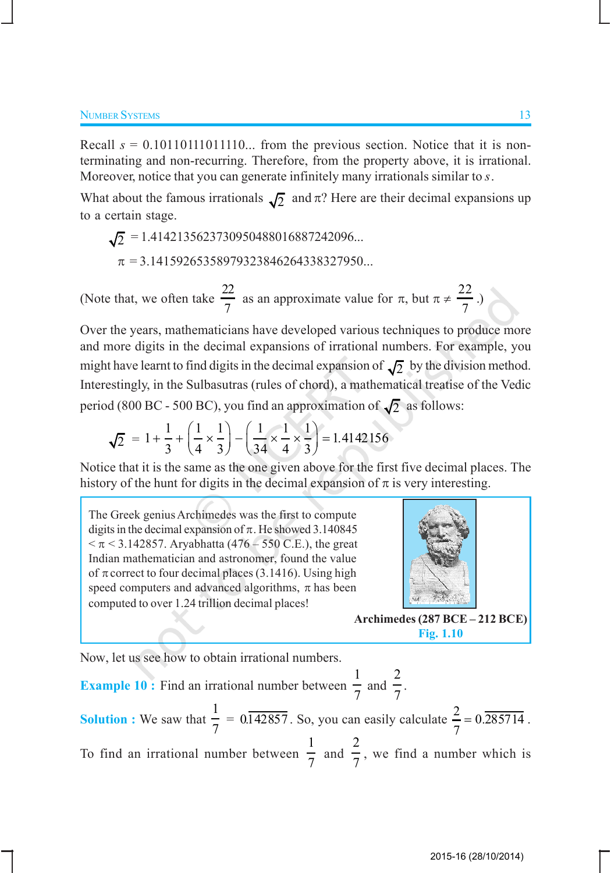Recall  $s = 0.101101111011110...$  from the previous section. Notice that it is nonterminating and non-recurring. Therefore, from the property above, it is irrational. Moreover, notice that you can generate infinitely many irrationals similar to *s*.

What about the famous irrationals  $\sqrt{2}$  and  $\pi$ ? Here are their decimal expansions up to a certain stage.

$$
\sqrt{2} = 1.4142135623730950488016887242096...
$$
  
\n
$$
\pi = 3.14159265358979323846264338327950...
$$

(Note that, we often take 22 7 as an approximate value for  $\pi$ , but  $\pi \neq \frac{22}{7}$ 7 .)

Over the years, mathematicians have developed various techniques to produce more and more digits in the decimal expansions of irrational numbers. For example, you might have learnt to find digits in the decimal expansion of  $\sqrt{2}$  by the division method. Interestingly, in the Sulbasutras (rules of chord), a mathematical treatise of the Vedic period (800 BC - 500 BC), you find an approximation of  $\sqrt{2}$  as follows:

$$
\sqrt{2} = 1 + \frac{1}{3} + \left(\frac{1}{4} \times \frac{1}{3}\right) - \left(\frac{1}{34} \times \frac{1}{4} \times \frac{1}{3}\right) = 1.4142156
$$

Notice that it is the same as the one given above for the first five decimal places. The history of the hunt for digits in the decimal expansion of  $\pi$  is very interesting.

The Greek genius Archimedes was the first to compute digits in the decimal expansion of  $\pi$ . He showed 3.140845  $< \pi < 3.142857$ . Aryabhatta (476 – 550 C.E.), the great Indian mathematician and astronomer, found the value of  $\pi$  correct to four decimal places (3.1416). Using high speed computers and advanced algorithms,  $\pi$  has been computed to over 1.24 trillion decimal places!



**Archimedes (287 BCE – 212 BCE) Fig. 1.10**

Now, let us see how to obtain irrational numbers.

**Example 10 :** Find an irrational number between 1  $\frac{1}{7}$  and 2  $\frac{1}{7}$ . **Solution :** We saw that 1 7  $= 0.\overline{142857}$ . So, you can easily calculate  $\frac{2}{5} = 0.\overline{285714}$ 7  $= 0.285714$ . To find an irrational number between 1  $\frac{1}{7}$  and 2  $\frac{1}{7}$ , we find a number which is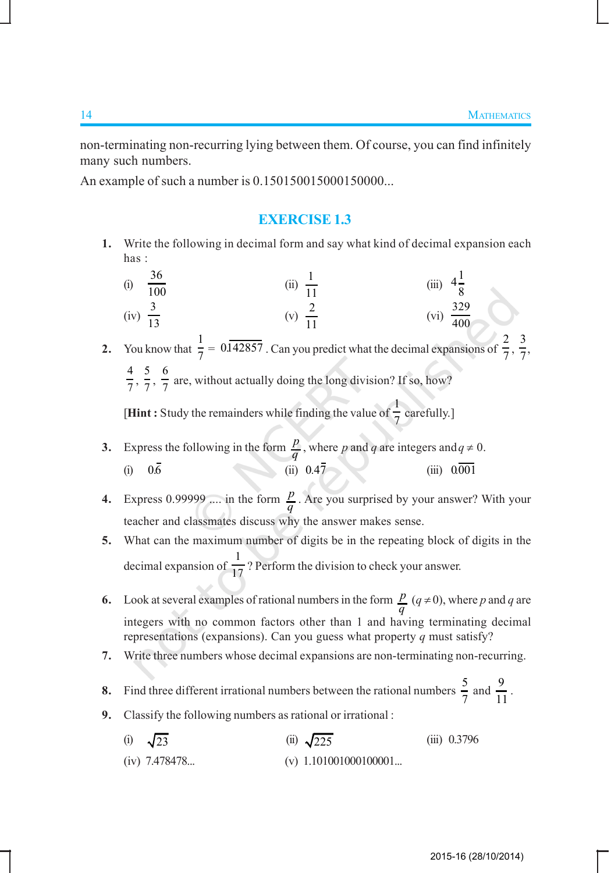non-terminating non-recurring lying between them. Of course, you can find infinitely many such numbers.

An example of such a number is 0.150150015000150000...

## **EXERCISE 1.3**

- **1.** Write the following in decimal form and say what kind of decimal expansion each has :
	- (i) 36  $\frac{36}{100}$  (ii)  $\frac{1}{11}$ 11 (iii)  $4\frac{1}{2}$ 8  $(iv) \frac{3}{12}$  $\frac{1}{13}$  (v) 2 11  $\frac{329}{400}$ 400 3
- **2.** You know that  $\frac{1}{7}$  $\frac{1}{7}$  = 0.142857 . Can you predict what the decimal expansions of  $\frac{2}{7}$ 7 ,  $\frac{1}{7}$ 4  $\frac{4}{7}, \frac{5}{7}$  $\frac{5}{7}, \frac{6}{7}$  $\frac{1}{7}$  are, without actually doing the long division? If so, how?

**[Hint :** Study the remainders while finding the value of  $\frac{1}{7}$  $\frac{1}{7}$  carefully.]

- **3.** Express the following in the form  $\frac{p}{q}$ , where *p* and *q* are integers and  $q \neq 0$ . (i) 06*.* (ii) 0 47 *.* (iii) 0001 *.*
- **4.** Express 0.99999 .... in the form  $\frac{p}{q}$ . Are you surprised by your answer? With your teacher and classmates discuss why the answer makes sense.
- **5.** What can the maximum number of digits be in the repeating block of digits in the decimal expansion of  $\frac{1}{17}$ ? Perform the division to check your answer.
- **6.** Look at several examples of rational numbers in the form  $\frac{p}{q}$   $(q \neq 0)$ , where *p* and *q* are integers with no common factors other than 1 and having terminating decimal representations (expansions). Can you guess what property *q* must satisfy?
- **7.** Write three numbers whose decimal expansions are non-terminating non-recurring.
- **8.** Find three different irrational numbers between the rational numbers  $\frac{5}{7}$  $\frac{5}{7}$  and  $\frac{9}{1}$  $\frac{1}{11}$ .
- **9.** Classify the following numbers as rational or irrational:
	- (i)  $\sqrt{23}$  (ii)  $\sqrt{225}$  (iii) 0.3796 (iv)  $7.478478...$  (v)  $1.101001000100001...$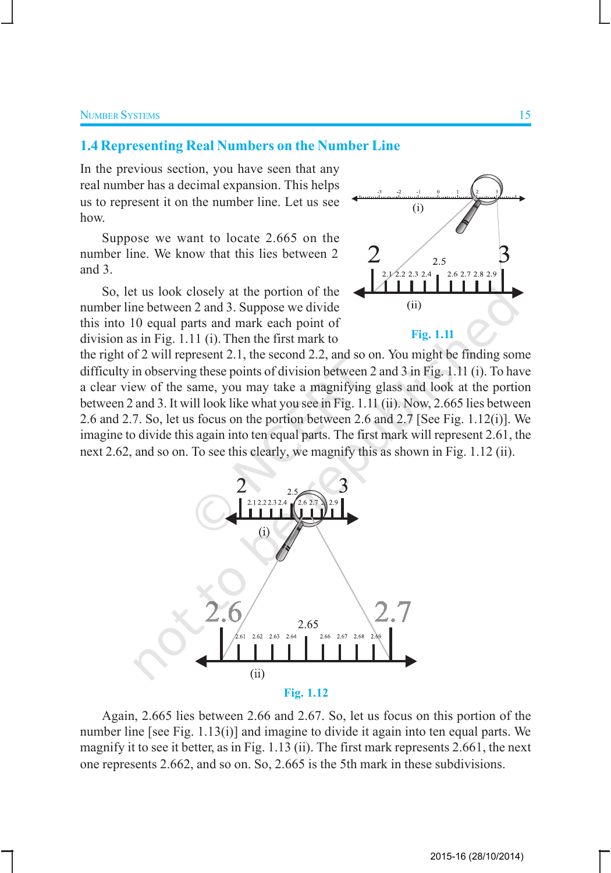#### **1.4 Representing Real Numbers on the Number Line**

In the previous section, you have seen that any real number has a decimal expansion. This helps us to represent it on the number line. Let us see how.

Suppose we want to locate 2.665 on the number line. We know that this lies between 2 and 3.

So, let us look closely at the portion of the number line between 2 and 3. Suppose we divide this into 10 equal parts and mark each point of division as in Fig. 1.11 (i). Then the first mark to



the right of 2 will represent 2.1, the second 2.2, and so on. You might be finding some difficulty in observing these points of division between 2 and 3 in Fig. 1.11 (i). To have a clear view of the same, you may take a magnifying glass and look at the portion between 2 and 3. It will look like what you see in Fig. 1.11 (ii). Now, 2.665 lies between 2.6 and 2.7. So, let us focus on the portion between 2.6 and 2.7 [See Fig. 1.12(i)]. We imagine to divide this again into ten equal parts. The first mark will represent 2.61, the next 2.62, and so on. To see this clearly, we magnify this as shown in Fig. 1.12 (ii).



Again, 2.665 lies between 2.66 and 2.67. So, let us focus on this portion of the number line [see Fig. 1.13(i)] and imagine to divide it again into ten equal parts. We magnify it to see it better, as in Fig. 1.13 (ii). The first mark represents 2.661, the next one represents 2.662, and so on. So, 2.665 is the 5th mark in these subdivisions.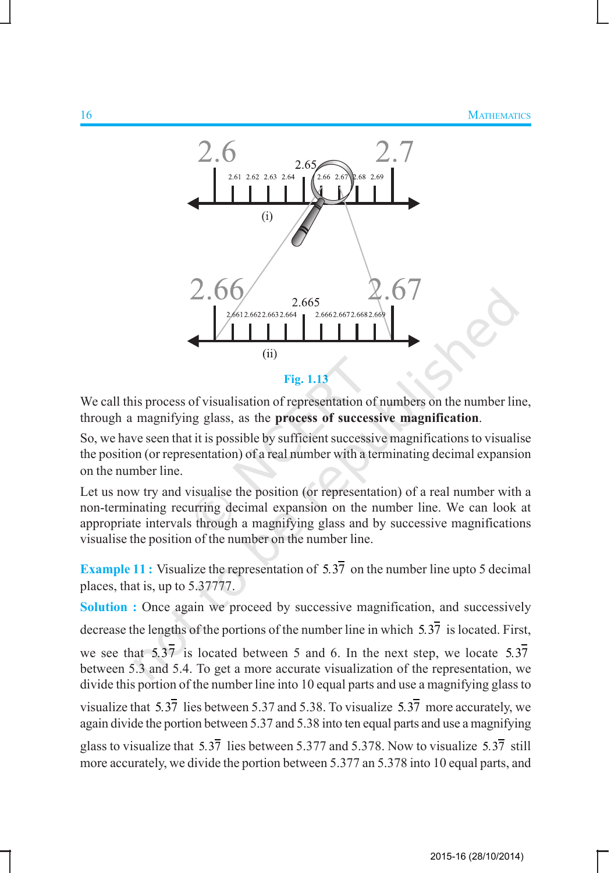

**Fig. 1.13**

We call this process of visualisation of representation of numbers on the number line, through a magnifying glass, as the **process of successive magnification**.

So, we have seen that it is possible by sufficient successive magnifications to visualise the position (or representation) of a real number with a terminating decimal expansion on the number line.

Let us now try and visualise the position (or representation) of a real number with a non-terminating recurring decimal expansion on the number line. We can look at appropriate intervals through a magnifying glass and by successive magnifications visualise the position of the number on the number line.

**Example 11 :** Visualize the representation of 5.37 on the number line upto 5 decimal places, that is, up to 5.37777.

**Solution :** Once again we proceed by successive magnification, and successively

decrease the lengths of the portions of the number line in which 5.37 is located. First,

we see that 5.37 is located between 5 and 6. In the next step, we locate 5.37 between 5.3 and 5.4. To get a more accurate visualization of the representation, we divide this portion of the number line into 10 equal parts and use a magnifying glass to

visualize that  $5.3\overline{7}$  lies between  $5.37$  and  $5.38$ . To visualize  $5.3\overline{7}$  more accurately, we again divide the portion between 5.37 and 5.38 into ten equal parts and use a magnifying

glass to visualize that 5.37 lies between 5.377 and 5.378. Now to visualize 5.37 still more accurately, we divide the portion between 5.377 an 5.378 into 10 equal parts, and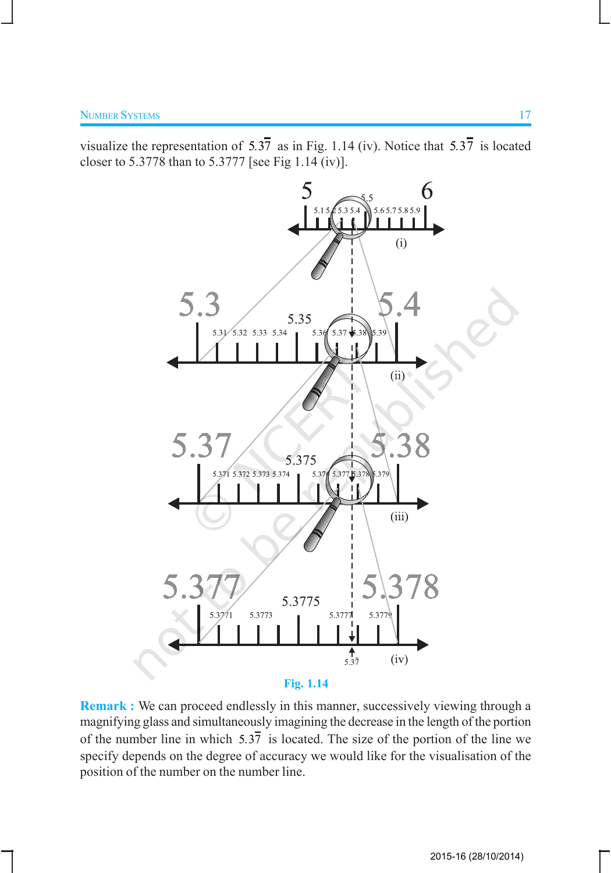visualize the representation of  $5.3\overline{7}$  as in Fig. 1.14 (iv). Notice that  $5.3\overline{7}$  is located closer to 5.3778 than to 5.3777 [see Fig 1.14 (iv)].



**Remark :** We can proceed endlessly in this manner, successively viewing through a magnifying glass and simultaneously imagining the decrease in the length of the portion of the number line in which 5.37 is located. The size of the portion of the line we specify depends on the degree of accuracy we would like for the visualisation of the position of the number on the number line.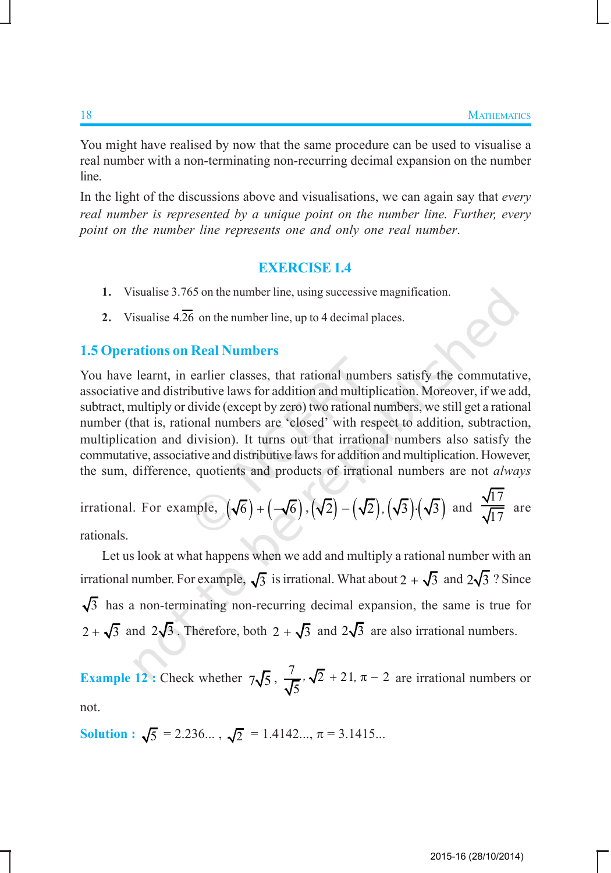You might have realised by now that the same procedure can be used to visualise a real number with a non-terminating non-recurring decimal expansion on the number line.

In the light of the discussions above and visualisations, we can again say that *every real number is represented by a unique point on the number line. Further, every point on the number line represents one and only one real number*.

#### **EXERCISE 1.4**

- **1.** Visualise 3.765 on the number line, using successive magnification.
- **2.** Visualise  $4.\overline{26}$  on the number line, up to 4 decimal places.

## **1.5 Operations on Real Numbers**

You have learnt, in earlier classes, that rational numbers satisfy the commutative, associative and distributive laws for addition and multiplication. Moreover, if we add, subtract, multiply or divide (except by zero) two rational numbers, we still get a rational number (that is, rational numbers are 'closed' with respect to addition, subtraction, multiplication and division). It turns out that irrational numbers also satisfy the commutative, associative and distributive laws for addition and multiplication. However, the sum, difference, quotients and products of irrational numbers are not *always*

irrational. For example, 
$$
(\sqrt{6}) + (-\sqrt{6}), (\sqrt{2}) - (\sqrt{2}), (\sqrt{3}) \cdot (\sqrt{3})
$$
 and  $\frac{\sqrt{17}}{\sqrt{17}}$  are rationals.

Let us look at what happens when we add and multiply a rational number with an irrational number. For example,  $\sqrt{3}$  is irrational. What about 2 +  $\sqrt{3}$  and  $2\sqrt{3}$  ? Since  $\sqrt{3}$  has a non-terminating non-recurring decimal expansion, the same is true for  $2 + \sqrt{3}$  and  $2\sqrt{3}$ . Therefore, both  $2 + \sqrt{3}$  and  $2\sqrt{3}$  are also irrational numbers.

**Example 12**: Check whether  $7\sqrt{5}$ ,  $\frac{7}{\sqrt{5}}$ ,  $\sqrt{2}$  + 21,  $\pi$  - 2 5  $\sqrt{2} + 21$ ,  $\pi - 2$  are irrational numbers or not.

**Solution :**  $\sqrt{5}$  = 2.236...,  $\sqrt{2}$  = 1.4142...,  $\pi$  = 3.1415...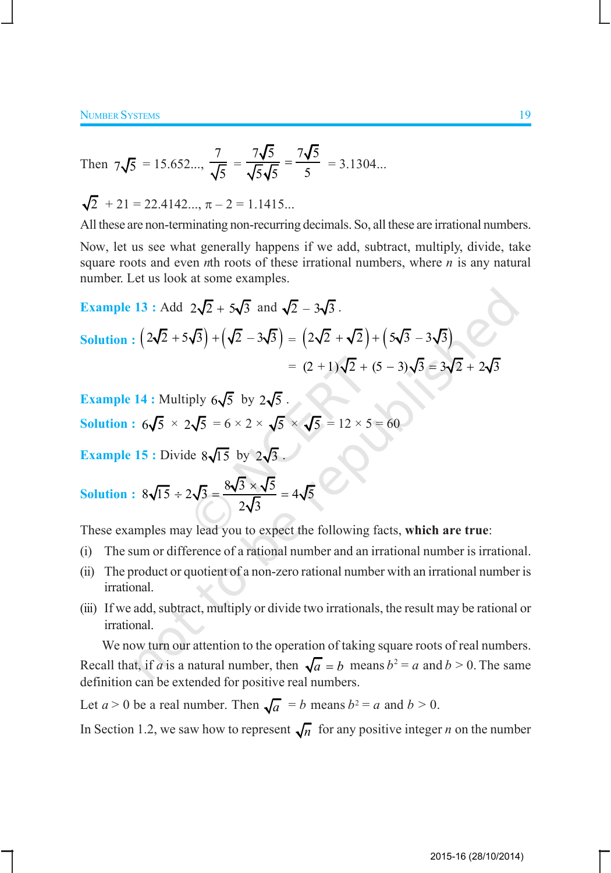Then 
$$
7\sqrt{5} = 15.652...
$$
,  $\frac{7}{\sqrt{5}} = \frac{7\sqrt{5}}{\sqrt{5}\sqrt{5}} = \frac{7\sqrt{5}}{5} = 3.1304...$ 

$$
\sqrt{2} + 21 = 22.4142..., \pi - 2 = 1.1415...
$$

All these are non-terminating non-recurring decimals. So, all these are irrational numbers.

Now, let us see what generally happens if we add, subtract, multiply, divide, take square roots and even *n*th roots of these irrational numbers, where *n* is any natural number. Let us look at some examples.

Example 13: Add 
$$
2\sqrt{2} + 5\sqrt{3}
$$
 and  $\sqrt{2} - 3\sqrt{3}$ .  
\nSolution:  $(2\sqrt{2} + 5\sqrt{3}) + (\sqrt{2} - 3\sqrt{3}) = (2\sqrt{2} + \sqrt{2}) + (5\sqrt{3} - 3\sqrt{3})$   
\n $= (2 + 1)\sqrt{2} + (5 - 3)\sqrt{3} = 3\sqrt{2} + 2\sqrt{3}$ 

**Example 14 :** Multiply  $6\sqrt{5}$  by  $2\sqrt{5}$ . **Solution :**  $6\sqrt{5} \times 2\sqrt{5} = 6 \times 2 \times \sqrt{5} \times \sqrt{5} = 12 \times 5 = 60$ 

**Example 15 :** Divide  $8\sqrt{15}$  by  $2\sqrt{3}$ .

Solution: 
$$
8\sqrt{15} \div 2\sqrt{3} = \frac{8\sqrt{3} \times \sqrt{5}}{2\sqrt{3}} = 4\sqrt{5}
$$

These examples may lead you to expect the following facts, **which are true**:

- (i) The sum or difference of a rational number and an irrational number is irrational.
- (ii) The product or quotient of a non-zero rational number with an irrational number is irrational.
- (iii) If we add, subtract, multiply or divide two irrationals, the result may be rational or irrational.

We now turn our attention to the operation of taking square roots of real numbers. Recall that, if *a* is a natural number, then  $\sqrt{a} = b$  means  $b^2 = a$  and  $b > 0$ . The same definition can be extended for positive real numbers.

Let  $a > 0$  be a real number. Then  $\sqrt{a} = b$  means  $b^2 = a$  and  $b > 0$ .

In Section 1.2, we saw how to represent  $\sqrt{n}$  for any positive integer *n* on the number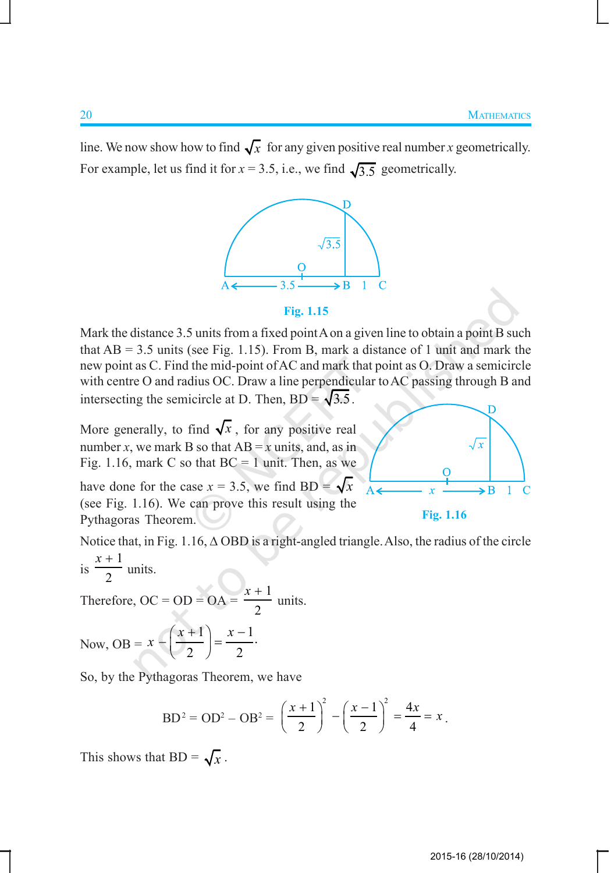line. We now show how to find  $\sqrt{x}$  for any given positive real number *x* geometrically. For example, let us find it for  $x = 3.5$ , i.e., we find  $\sqrt{3.5}$  geometrically.



#### **Fig. 1.15**

Mark the distance 3.5 units from a fixed point A on a given line to obtain a point B such that  $AB = 3.5$  units (see Fig. 1.15). From B, mark a distance of 1 unit and mark the new point as C. Find the mid-point of AC and mark that point as O. Draw a semicircle with centre O and radius OC. Draw a line perpendicular to AC passing through B and intersecting the semicircle at D. Then,  $BD = \sqrt{3.5}$ .

More generally, to find  $\sqrt{x}$ , for any positive real number *x*, we mark B so that  $AB = x$  units, and, as in Fig. 1.16, mark C so that  $BC = 1$  unit. Then, as we

have done for the case  $x = 3.5$ , we find BD =  $\sqrt{x}$ (see Fig. 1.16). We can prove this result using the Pythagoras Theorem.

**Fig. 1.16**

Notice that, in Fig. 1.16, ∆ OBD is a right-angled triangle. Also, the radius of the circle 1 *x* +

is 2 units.

Therefore,  $OC = OD = OA =$ 1 2 *x* + units.

Now, OB = 
$$
x - \left(\frac{x+1}{2}\right) = \frac{x-1}{2}
$$
.

So, by the Pythagoras Theorem, we have

$$
BD^{2} = OD^{2} - OB^{2} = \left(\frac{x+1}{2}\right)^{2} - \left(\frac{x-1}{2}\right)^{2} = \frac{4x}{4} = x.
$$

This shows that  $BD = \sqrt{x}$ .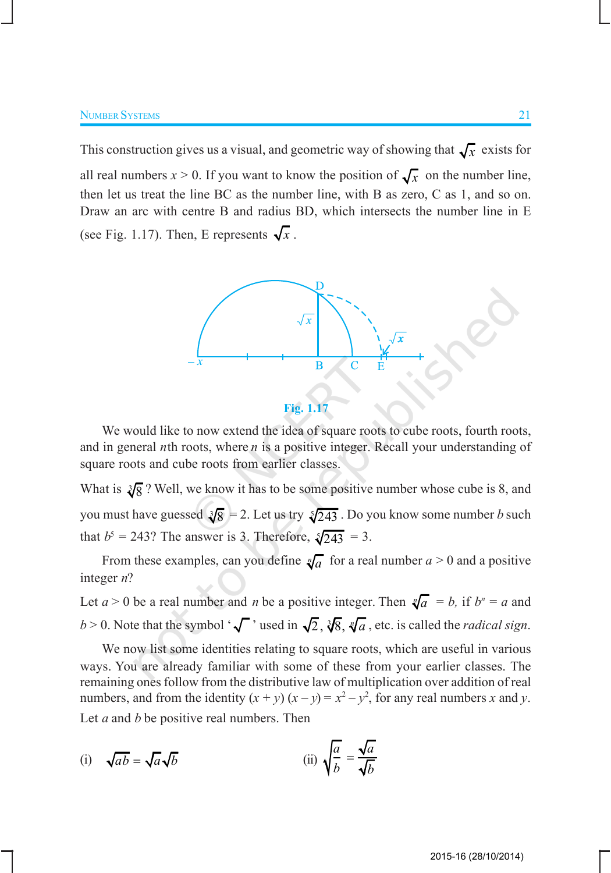This construction gives us a visual, and geometric way of showing that  $\sqrt{x}$  exists for all real numbers  $x > 0$ . If you want to know the position of  $\sqrt{x}$  on the number line, then let us treat the line BC as the number line, with B as zero, C as 1, and so on. Draw an arc with centre B and radius BD, which intersects the number line in E (see Fig. 1.17). Then, E represents  $\sqrt{x}$ .



**Fig. 1.17**

We would like to now extend the idea of square roots to cube roots, fourth roots, and in general *n*th roots, where *n* is a positive integer. Recall your understanding of square roots and cube roots from earlier classes.

What is  $\sqrt[3]{8}$ ? Well, we know it has to be some positive number whose cube is 8, and you must have guessed  $\sqrt[3]{8} = 2$ . Let us try  $\sqrt[5]{243}$ . Do you know some number *b* such that  $b^5 = 243$ ? The answer is 3. Therefore,  $\sqrt[5]{243} = 3$ .

From these examples, can you define  $\sqrt[n]{a}$  for a real number  $a > 0$  and a positive integer *n*?

Let  $a > 0$  be a real number and *n* be a positive integer. Then  $\sqrt[n]{a} = b$ , if  $b^n = a$  and *b* > 0. Note that the symbol ' $\sqrt{\ }$ ' used in  $\sqrt{2}$ ,  $\sqrt[3]{8}$ ,  $\sqrt[n]{a}$ , etc. is called the *radical sign*.

We now list some identities relating to square roots, which are useful in various ways. You are already familiar with some of these from your earlier classes. The remaining ones follow from the distributive law of multiplication over addition of real numbers, and from the identity  $(x + y)(x - y) = x^2 - y^2$ , for any real numbers *x* and *y*. Let *a* and *b* be positive real numbers. Then

(i) 
$$
\sqrt{ab} = \sqrt{a}\sqrt{b}
$$
 (ii)  $\sqrt{\frac{a}{b}} = \frac{\sqrt{a}}{\sqrt{b}}$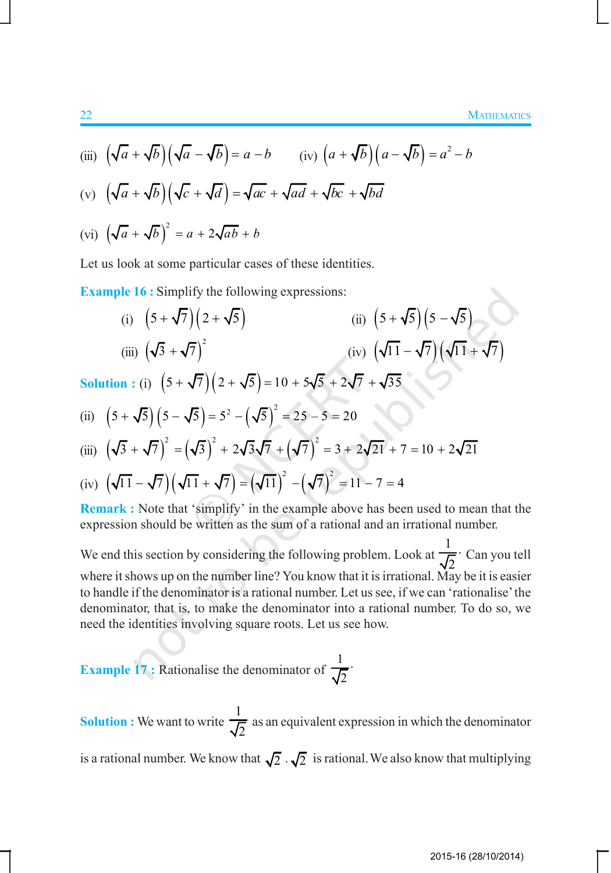(iii) 
$$
(\sqrt{a} + \sqrt{b})(\sqrt{a} - \sqrt{b}) = a - b
$$
 (iv)  $(a + \sqrt{b})(a - \sqrt{b}) = a^2 - b$   
\n(v)  $(\sqrt{a} + \sqrt{b})(\sqrt{c} + \sqrt{a}) = \sqrt{ac} + \sqrt{ad} + \sqrt{bc} + \sqrt{bd}$ 

$$
(vi) \left(\sqrt{a} + \sqrt{b}\right)^2 = a + 2\sqrt{ab} + b
$$

Let us look at some particular cases of these identities.

**Example 16 :** Simplify the following expressions:

(i) 
$$
(5 + \sqrt{7})(2 + \sqrt{5})
$$
  
\n(ii)  $(5 + \sqrt{5})(5 - \sqrt{5})$   
\n(iii)  $(\sqrt{3} + \sqrt{7})^2$   
\n(iiv)  $(\sqrt{11} - \sqrt{7})(\sqrt{11} + \sqrt{7})$   
\nSolution : (i)  $(5 + \sqrt{7})(2 + \sqrt{5}) = 10 + 5\sqrt{5} + 2\sqrt{7} + \sqrt{35}$   
\n(ii)  $(5 + \sqrt{5})(5 - \sqrt{5}) = 5^2 - (\sqrt{5})^2 = 25 - 5 = 20$   
\n(iii)  $(\sqrt{3} + \sqrt{7})^2 = (\sqrt{3})^2 + 2\sqrt{3}\sqrt{7} + (\sqrt{7})^2 = 3 + 2\sqrt{21} + 7 = 10 + 2\sqrt{21}$ 

(iv) 
$$
(\sqrt{11} - \sqrt{7})(\sqrt{11} + \sqrt{7}) = (\sqrt{11})^2 - (\sqrt{7})^2 = 11 - 7 = 4
$$

**Remark :** Note that 'simplify' in the example above has been used to mean that the expression should be written as the sum of a rational and an irrational number.

We end this section by considering the following problem. Look at 1 2 ⋅ Can you tell where it shows up on the number line? You know that it is irrational. May be it is easier to handle if the denominator is a rational number. Let us see, if we can 'rationalise' the denominator, that is, to make the denominator into a rational number. To do so, we need the identities involving square roots. Let us see how.

**Example 17 : Rationalise the denominator of** 1 2 ⋅

**Solution :** We want to write 1 2 as an equivalent expression in which the denominator is a rational number. We know that  $\sqrt{2} \cdot \sqrt{2}$  is rational. We also know that multiplying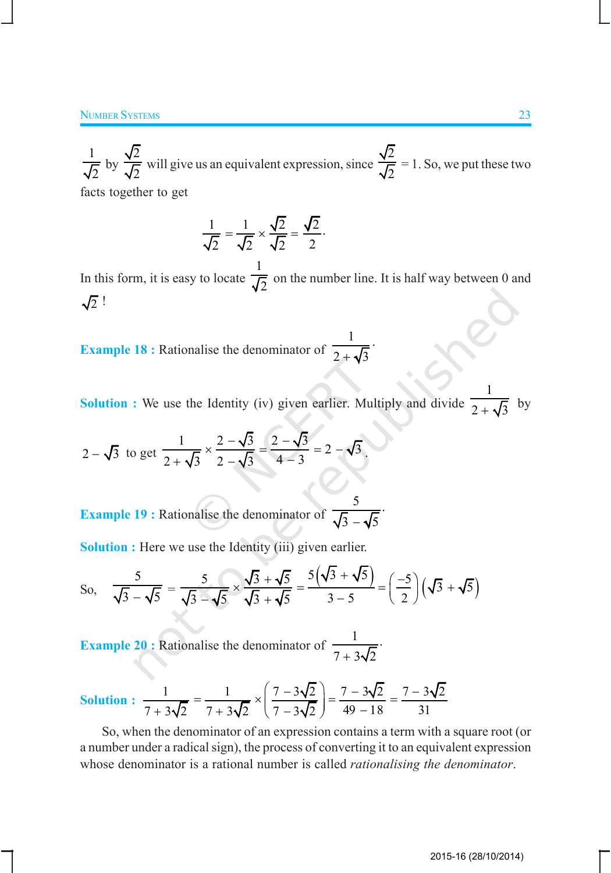1 2 by 2 2 will give us an equivalent expression, since 2 2  $= 1.$  So, we put these two facts together to get

$$
\frac{1}{\sqrt{2}} = \frac{1}{\sqrt{2}} \times \frac{\sqrt{2}}{\sqrt{2}} = \frac{\sqrt{2}}{2}.
$$

In this form, it is easy to locate 1  $\frac{1}{2}$  on the number line. It is half way between 0 and  $\sqrt{2}$  !

**Example 18 :** Rationalise the denominator of 1  $2 + \sqrt{3}$ ⋅ +

**Solution :** We use the Identity (iv) given earlier. Multiply and divide 1  $2 + \sqrt{3}$ by

$$
2 - \sqrt{3} \text{ to get } \frac{1}{2 + \sqrt{3}} \times \frac{2 - \sqrt{3}}{2 - \sqrt{3}} = \frac{2 - \sqrt{3}}{4 - 3} = 2 - \sqrt{3}.
$$

**Example 19 :** Rationalise the denominator of 5  $3 - \sqrt{5}$ ⋅ −

**Solution :** Here we use the Identity (iii) given earlier.

So, 
$$
\frac{5}{\sqrt{3}-\sqrt{5}} = \frac{5}{\sqrt{3}-\sqrt{5}} \times \frac{\sqrt{3}+\sqrt{5}}{\sqrt{3}+\sqrt{5}} = \frac{5(\sqrt{3}+\sqrt{5})}{3-5} = \left(\frac{-5}{2}\right)(\sqrt{3}+\sqrt{5})
$$

**Example 20 :** Rationalise the denominator of  $\frac{1}{7}$  $7 + 3\sqrt{2}$ ⋅ +

Solution: 
$$
\frac{1}{7+3\sqrt{2}} = \frac{1}{7+3\sqrt{2}} \times \left(\frac{7-3\sqrt{2}}{7-3\sqrt{2}}\right) = \frac{7-3\sqrt{2}}{49-18} = \frac{7-3\sqrt{2}}{31}
$$

So, when the denominator of an expression contains a term with a square root (or a number under a radical sign), the process of converting it to an equivalent expression whose denominator is a rational number is called *rationalising the denominator*.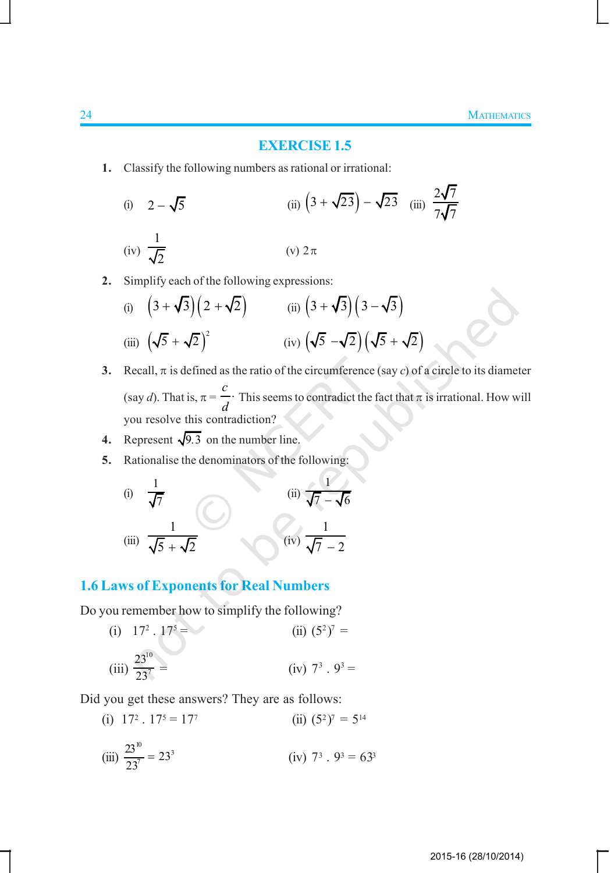#### **EXERCISE 1.5**

**1.** Classify the following numbers as rational or irrational:

(i) 
$$
2 - \sqrt{5}
$$
  
\n(ii)  $(3 + \sqrt{23}) - \sqrt{23}$  (iii)  $\frac{2\sqrt{7}}{7\sqrt{7}}$   
\n(iv)  $\frac{1}{\sqrt{2}}$   
\n(v)  $2\pi$ 

**2.** Simplify each of the following expressions:

(i) 
$$
(3+\sqrt{3})(2+\sqrt{2})
$$
 (ii)  $(3+\sqrt{3})(3-\sqrt{3})$   
(iii)  $(\sqrt{5}+\sqrt{2})^2$  (iv)  $(\sqrt{5}-\sqrt{2})(\sqrt{5}+\sqrt{2})$ 

- **3.** Recall,  $\pi$  is defined as the ratio of the circumference (say *c*) of a circle to its diameter (say *d*). That is,  $\pi = \frac{c}{\sqrt{c}}$ *d* This seems to contradict the fact that  $\pi$  is irrational. How will you resolve this contradiction?
- **4.** Represent  $\sqrt{9.3}$  on the number line.
- **5.** Rationalise the denominators of the following:

(i) 
$$
\frac{1}{\sqrt{7}}
$$
  
\n(ii)  $\frac{1}{\sqrt{7} - \sqrt{6}}$   
\n(iii)  $\frac{1}{\sqrt{5} + \sqrt{2}}$   
\n(iv)  $\frac{1}{\sqrt{7} - 2}$ 

## **1.6 Laws of Exponents for Real Numbers**

Do you remember how to simplify the following?

(i) 
$$
17^2 \tcdot 17^5 =
$$
  
\n(ii)  $(5^2)^7 =$   
\n(iii)  $\frac{23^{10}}{23^7} =$   
\n(iv)  $7^3 \tcdot 9^3 =$ 

Did you get these answers? They are as follows:

 $(i)$  17<sup>2</sup> . 17<sup>5</sup> = 17<sup>7</sup> (ii)  $(5^2)^7 = 5^{14}$ (iii)  $\frac{23^{10}}{22^{7}} = 23^{3}$  $\frac{23}{23^7} = 23^3$  (iv) 7  $3 \cdot 9^3 = 63^3$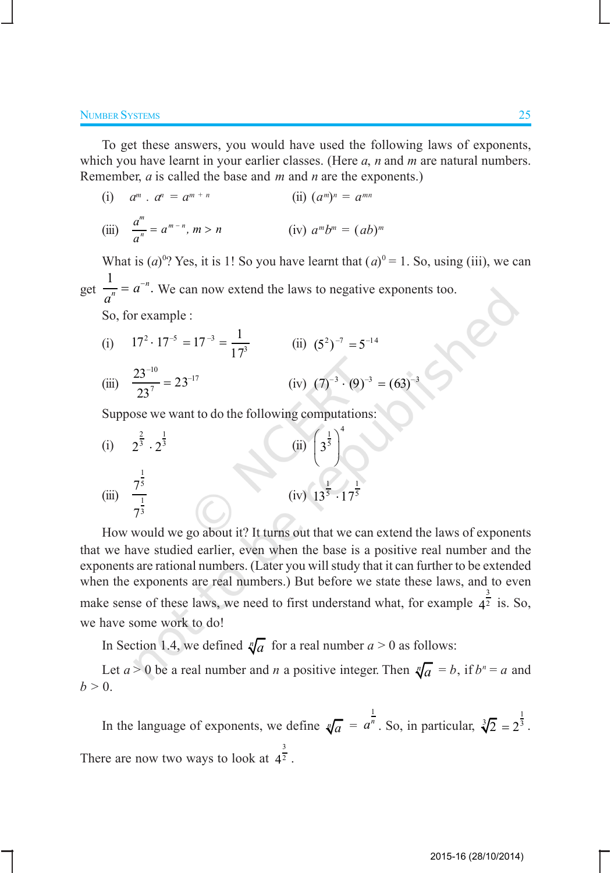To get these answers, you would have used the following laws of exponents, which you have learnt in your earlier classes. (Here *a*, *n* and *m* are natural numbers. Remember, *a* is called the base and *m* and *n* are the exponents.)

(i) 
$$
a^m \cdot a^n = a^{m+n}
$$
  
\n(ii)  $(a^m)^n = a^{mn}$   
\n(iii)  $\frac{a^m}{a^n} = a^{m-n}, m > n$   
\n(iv)  $a^m b^m = (ab)^m$ 

What is  $(a)^{0}$ ? Yes, it is 1! So you have learnt that  $(a)^{0} = 1$ . So, using (iii), we can get 1 . *n*  $\frac{a}{n} = a$ *a*  $= a^{-n}$ . We can now extend the laws to negative exponents too.

So, for example :

(i) 
$$
17^2 \cdot 17^{-5} = 17^{-3} = \frac{1}{17^3}
$$
  
\n(ii)  $(5^2)^{-7} = 5^{-14}$   
\n(iii)  $\frac{23^{-10}}{23^7} = 23^{-17}$   
\n(iv)  $(7)^{-3} \cdot (9)^{-3} = (63)^{-3}$ 

Suppose we want to do the following computations:

(i) 
$$
2^{\frac{2}{3}} \cdot 2^{\frac{1}{3}}
$$
  
\n(ii)  $\left(3^{\frac{1}{5}}\right)^4$   
\n(iii)  $\frac{7^{\frac{1}{5}}}{7^{\frac{1}{3}}}$   
\n(iv)  $13^{\frac{1}{5}} \cdot 17^{\frac{1}{5}}$ 

How would we go about it? It turns out that we can extend the laws of exponents that we have studied earlier, even when the base is a positive real number and the exponents are rational numbers. (Later you will study that it can further to be extended when the exponents are real numbers.) But before we state these laws, and to even make sense of these laws, we need to first understand what, for example  $4^{\frac{3}{2}}$  is. So, we have some work to do!

In Section 1.4, we defined  $\sqrt[n]{a}$  for a real number  $a > 0$  as follows:

Let  $a > 0$  be a real number and *n* a positive integer. Then  $\sqrt[n]{a} = b$ , if  $b^n = a$  and  $b > 0$ .

In the language of exponents, we define  $\sqrt[n]{a}$  =  $a^{\frac{1}{n}}$ . So, in particular,  $\sqrt[3]{2} = 2^{\frac{1}{3}}$ . There are now two ways to look at  $4^{\frac{1}{2}}$ . 3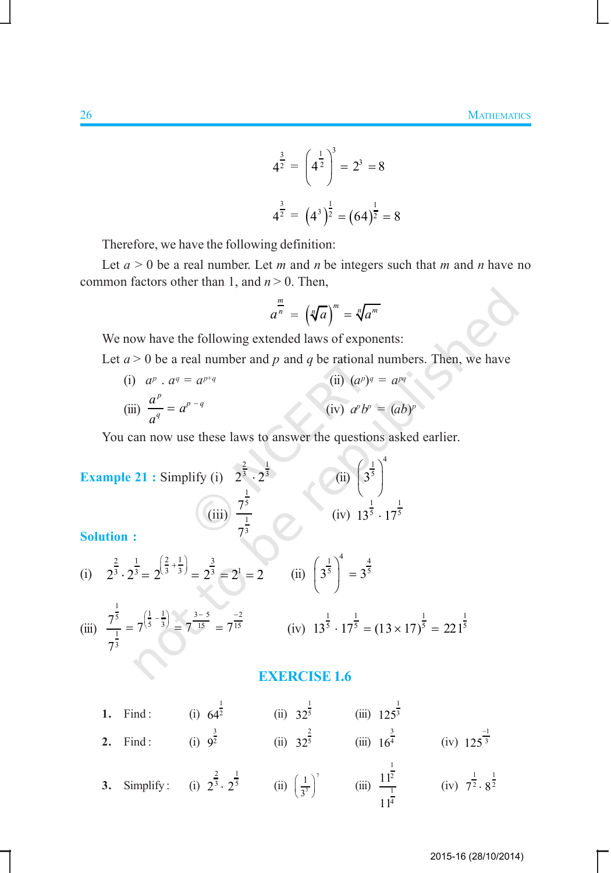$$
4^{\frac{3}{2}} = \left(4^{\frac{1}{2}}\right)^3 = 2^3 = 8
$$
  

$$
4^{\frac{3}{2}} = \left(4^3\right)^{\frac{1}{2}} = \left(64\right)^{\frac{1}{2}} = 8
$$

Therefore, we have the following definition:

Let  $a > 0$  be a real number. Let *m* and *n* be integers such that *m* and *n* have no common factors other than 1, and *n* > 0. Then,

$$
a^{\frac{m}{n}} = \left(\sqrt[n]{a}\right)^m = \sqrt[n]{a^m}
$$

We now have the following extended laws of exponents:

Let  $a > 0$  be a real number and  $p$  and  $q$  be rational numbers. Then, we have

(i)  $a^p \cdot a^q = a^{p+q}$  $(i) (a^p)^q = a^{pq}$ (iii)  $\int_{a}^{p}$  *q*<sup>*p*</sup> - *q q*  $\frac{a^p}{a} = a$ *a*  $= a^{p-q}$  (iv) *a*  $p^p b^p = (ab)^p$ 

You can now use these laws to answer the questions asked earlier.

Example 21 : Simplify (i) 
$$
2^{\frac{2}{3}} \cdot 2^{\frac{1}{3}}
$$
  
\n(ii)  $\left(3^{\frac{1}{5}}\right)^4$   
\n(iii)  $\frac{7^{\frac{1}{5}}}{7^{\frac{1}{3}}}$   
\n(iv)  $13^{\frac{1}{5}} \cdot 17^{\frac{1}{5}}$   
\n(iii)  $2^{\frac{2}{3}} \cdot 2^{\frac{1}{3}} = 2^{\left(\frac{2}{3} + \frac{1}{3}\right)} = 2^{\frac{3}{3}} = 2^1 = 2$   
\n(ii)  $\left(3^{\frac{1}{5}}\right)^4 = 3^{\frac{4}{5}}$   
\n(iii)  $\frac{7^{\frac{1}{5}}}{7^{\frac{1}{3}}} = 7^{\left(\frac{1}{5} - \frac{1}{3}\right)} = 7^{\frac{3-5}{15}} = 7^{\frac{-2}{15}}$   
\n(iv)  $13^{\frac{1}{5}} \cdot 17^{\frac{1}{5}} = (13 \times 17)^{\frac{1}{5}} = 221^{\frac{1}{5}}$ 

(i) 
$$
2^{\frac{2}{3}} \cdot 2^{\frac{1}{3}} = 2^{\left(\frac{2}{3} + \frac{1}{3}\right)} = 2^{\frac{3}{3}} = 2^1 = 2
$$
 (ii)  $\left(3^{\frac{1}{3}}\right)^4 = 3^{\frac{4}{3}}$ 

(iii) 
$$
\frac{7^{\frac{1}{5}}}{7^{\frac{1}{3}}} = 7^{\left(\frac{1}{5} - \frac{1}{3}\right)} = 7^{\frac{3-5}{15}} = 7^{\frac{-2}{15}}
$$
 (iv) 
$$
13^{\frac{1}{5}} \cdot 17^{\frac{1}{5}} = (13 \times 17)^{\frac{1}{5}} = 221^{\frac{1}{5}}
$$

#### **EXERCISE 1.6**

1. Find: (i) 
$$
64^{\frac{1}{2}}
$$
 (ii)  $32^{\frac{1}{5}}$  (iii)  $125^{\frac{1}{3}}$   
\n2. Find: (i)  $9^{\frac{3}{2}}$  (ii)  $32^{\frac{2}{5}}$  (iii)  $16^{\frac{3}{4}}$  (iv)  $125^{\frac{-1}{3}}$   
\n3. Simplify: (i)  $2^{\frac{2}{3}} \cdot 2^{\frac{1}{5}}$  (ii)  $(\frac{1}{3^3})^7$  (iii)  $\frac{11^{\frac{1}{2}}}{11^{\frac{1}{4}}}$  (iv)  $7^{\frac{1}{2}} \cdot 8^{\frac{1}{2}}$